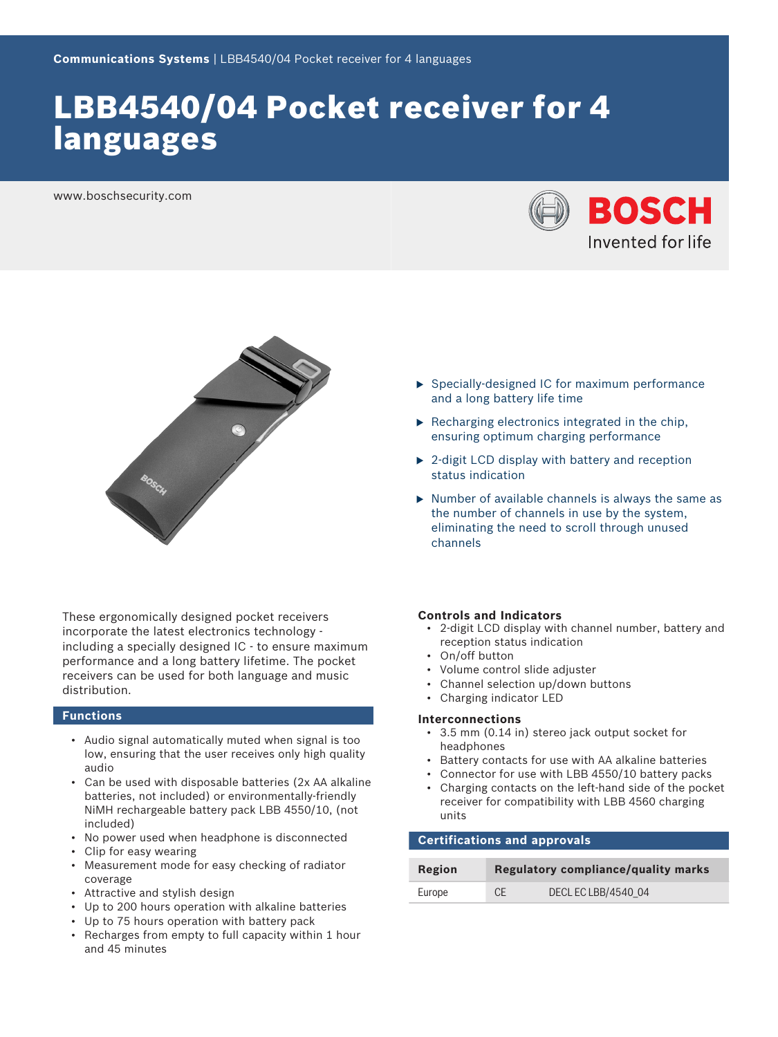# LBB4540/04 Pocket receiver for 4 languages

www.boschsecurity.com





These ergonomically designed pocket receivers incorporate the latest electronics technology including a specially designed IC - to ensure maximum performance and a long battery lifetime. The pocket receivers can be used for both language and music distribution.

#### **Functions**

- Audio signal automatically muted when signal is too low, ensuring that the user receives only high quality audio
- Can be used with disposable batteries (2x AA alkaline batteries, not included) or environmentally-friendly NiMH rechargeable battery pack LBB 4550/10, (not included)
- No power used when headphone is disconnected
- Clip for easy wearing
- Measurement mode for easy checking of radiator coverage
- Attractive and stylish design
- Up to 200 hours operation with alkaline batteries
- Up to 75 hours operation with battery pack
- Recharges from empty to full capacity within 1 hour and 45 minutes
- $\triangleright$  Specially-designed IC for maximum performance and a long battery life time
- $\blacktriangleright$  Recharging electronics integrated in the chip. ensuring optimum charging performance
- $\triangleright$  2-digit LCD display with battery and reception status indication
- $\triangleright$  Number of available channels is always the same as the number of channels in use by the system, eliminating the need to scroll through unused channels

#### **Controls and Indicators**

- 2-digit LCD display with channel number, battery and reception status indication
- On/off button
- Volume control slide adjuster
- Channel selection up/down buttons
- Charging indicator LED

#### **Interconnections**

- 3.5 mm (0.14 in) stereo jack output socket for headphones
- Battery contacts for use with AA alkaline batteries
- Connector for use with LBB 4550/10 battery packs
- Charging contacts on the left-hand side of the pocket receiver for compatibility with LBB 4560 charging units

## **Certifications and approvals**

| Region | Regulatory compliance/quality marks |                     |
|--------|-------------------------------------|---------------------|
| Europe | CE.                                 | DECL EC LBB/4540 04 |